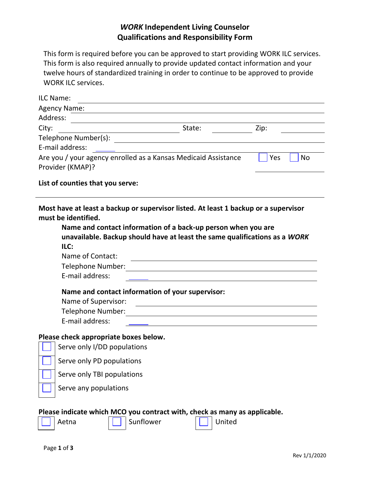## *WORK* **Independent Living Counselor Qualifications and Responsibility Form**

This form is required before you can be approved to start providing WORK ILC services. This form is also required annually to provide updated contact information and your twelve hours of standardized training in order to continue to be approved to provide WORK ILC services.

| ILC Name: |                                                                                                                                                                                                                                |                                                                                                                      |  |                                                                                                                        |      |    |
|-----------|--------------------------------------------------------------------------------------------------------------------------------------------------------------------------------------------------------------------------------|----------------------------------------------------------------------------------------------------------------------|--|------------------------------------------------------------------------------------------------------------------------|------|----|
|           | <b>Agency Name:</b>                                                                                                                                                                                                            |                                                                                                                      |  |                                                                                                                        |      |    |
| Address:  | <u> 1980 - Jan Barat, margaret eta politikaria (h. 1980).</u>                                                                                                                                                                  |                                                                                                                      |  |                                                                                                                        |      |    |
| City:     |                                                                                                                                                                                                                                | $\frac{1}{\sqrt{1-\frac{1}{2}}\left(\frac{1}{2}\right)^{1/2}}$ State:                                                |  |                                                                                                                        | Zip: |    |
|           |                                                                                                                                                                                                                                |                                                                                                                      |  |                                                                                                                        |      |    |
|           | E-mail address:                                                                                                                                                                                                                | <u> Alexandria de la contexta de la contexta de la contexta de la contexta de la contexta de la contexta de la c</u> |  |                                                                                                                        |      |    |
|           | Are you / your agency enrolled as a Kansas Medicaid Assistance                                                                                                                                                                 |                                                                                                                      |  |                                                                                                                        | Yes  | No |
|           | Provider (KMAP)?                                                                                                                                                                                                               |                                                                                                                      |  |                                                                                                                        |      |    |
|           | List of counties that you serve:                                                                                                                                                                                               |                                                                                                                      |  |                                                                                                                        |      |    |
|           | Most have at least a backup or supervisor listed. At least 1 backup or a supervisor<br>must be identified.                                                                                                                     |                                                                                                                      |  |                                                                                                                        |      |    |
|           | Name and contact information of a back-up person when you are                                                                                                                                                                  |                                                                                                                      |  |                                                                                                                        |      |    |
|           | unavailable. Backup should have at least the same qualifications as a WORK                                                                                                                                                     |                                                                                                                      |  |                                                                                                                        |      |    |
|           | ILC:                                                                                                                                                                                                                           |                                                                                                                      |  |                                                                                                                        |      |    |
|           | Name of Contact:                                                                                                                                                                                                               |                                                                                                                      |  | <u> 1989 - Johann Stoff, deutscher Stoffen und der Stoffen und der Stoffen und der Stoffen und der Stoffen und der</u> |      |    |
|           | Telephone Number:                                                                                                                                                                                                              |                                                                                                                      |  |                                                                                                                        |      |    |
|           | E-mail address:                                                                                                                                                                                                                |                                                                                                                      |  | <u> 1980 - Jan Sterling von Berger von Berger von Berger von Berger von Berger von Berger von Berger von Berger</u>    |      |    |
|           | Name and contact information of your supervisor:                                                                                                                                                                               |                                                                                                                      |  |                                                                                                                        |      |    |
|           | Name of Supervisor:                                                                                                                                                                                                            | <u> 1980 - Johann Stein, fransk politik (d. 1980)</u>                                                                |  |                                                                                                                        |      |    |
|           | Telephone Number: National Contract of the Contract of the Contract of the Contract of the Contract of the Contract of the Contract of the Contract of the Contract of the Contract of the Contract of the Contract of the Con |                                                                                                                      |  |                                                                                                                        |      |    |
|           | E-mail address:                                                                                                                                                                                                                |                                                                                                                      |  |                                                                                                                        |      |    |
|           | Please check appropriate boxes below.<br>Serve only I/DD populations                                                                                                                                                           |                                                                                                                      |  |                                                                                                                        |      |    |
|           | Serve only PD populations                                                                                                                                                                                                      |                                                                                                                      |  |                                                                                                                        |      |    |
|           | Serve only TBI populations                                                                                                                                                                                                     |                                                                                                                      |  |                                                                                                                        |      |    |
|           | Serve any populations                                                                                                                                                                                                          |                                                                                                                      |  |                                                                                                                        |      |    |
|           | Please indicate which MCO you contract with, check as many as applicable.                                                                                                                                                      |                                                                                                                      |  |                                                                                                                        |      |    |
|           | Aetna                                                                                                                                                                                                                          | Sunflower                                                                                                            |  | United                                                                                                                 |      |    |

 $\overline{a}$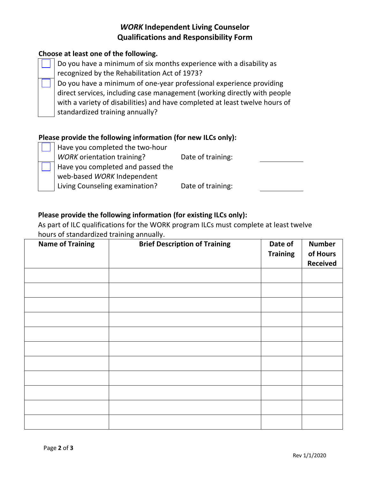## *WORK* **Independent Living Counselor Qualifications and Responsibility Form**

### **Choose at least one of the following.**

Do you have a minimum of six months experience with a disability as recognized by the Rehabilitation Act of 1973?

Do you have a minimum of one-year professional experience providing direct services, including case management (working directly with people with a variety of disabilities) and have completed at least twelve hours of standardized training annually?

#### **Please provide the following information (for new ILCs only):**

Have you completed the two-hour

*WORK* orientation training? Date of training:

Have you completed and passed the

web-based *WORK* Independent

Living Counseling examination? Date of training:

#### **Please provide the following information (for existing ILCs only):**

As part of ILC qualifications for the WORK program ILCs must complete at least twelve hours of standardized training annually.

| <b>Name of Training</b> | <b>Brief Description of Training</b> | Date of<br><b>Training</b> | <b>Number</b><br>of Hours<br><b>Received</b> |
|-------------------------|--------------------------------------|----------------------------|----------------------------------------------|
|                         |                                      |                            |                                              |
|                         |                                      |                            |                                              |
|                         |                                      |                            |                                              |
|                         |                                      |                            |                                              |
|                         |                                      |                            |                                              |
|                         |                                      |                            |                                              |
|                         |                                      |                            |                                              |
|                         |                                      |                            |                                              |
|                         |                                      |                            |                                              |
|                         |                                      |                            |                                              |
|                         |                                      |                            |                                              |